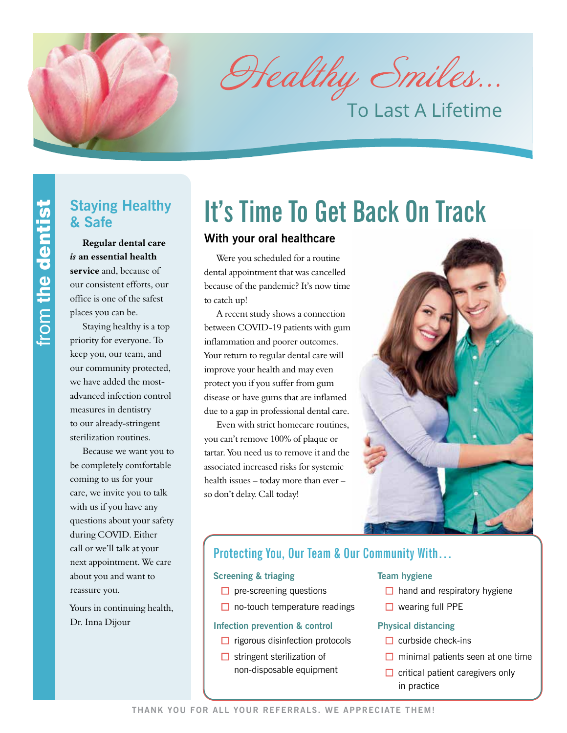Healthy Smiles...

To Last A Lifetime

## **Staying Healthy & Safe**

**Regular dental care**  *is* **an essential health service** and, because of our consistent efforts, our office is one of the safest places you can be.

Staying healthy is a top priority for everyone. To keep you, our team, and our community protected, we have added the mostadvanced infection control measures in dentistry to our already-stringent sterilization routines.

Because we want you to be completely comfortable coming to us for your care, we invite you to talk with us if you have any questions about your safety during COVID. Either call or we'll talk at your next appointment. We care about you and want to reassure you.

Yours in continuing health, Dr. Inna Dijour

# **It's Time To Get Back On Track**

## **With your oral healthcare**

Were you scheduled for a routine dental appointment that was cancelled because of the pandemic? It's now time to catch up!

A recent study shows a connection between COVID-19 patients with gum inflammation and poorer outcomes. Your return to regular dental care will improve your health and may even protect you if you suffer from gum disease or have gums that are inflamed due to a gap in professional dental care.

Even with strict homecare routines, you can't remove 100% of plaque or tartar. You need us to remove it and the associated increased risks for systemic health issues – today more than ever – so don't delay. Call today!



## **Protecting You, Our Team & Our Community With…**

#### **Screening & triaging**

- $\Box$  pre-screening questions
- $\Box$  no-touch temperature readings

#### **Infection prevention & control**

- $\Box$  rigorous disinfection protocols
- $\Box$  stringent sterilization of non-disposable equipment

#### **Team hygiene**

- $\Box$  hand and respiratory hygiene
- $\Box$  wearing full PPE

## **Physical distancing**

- $\Box$  curbside check-ins
- $\Box$  minimal patients seen at one time
- $\Box$  critical patient caregivers only in practice